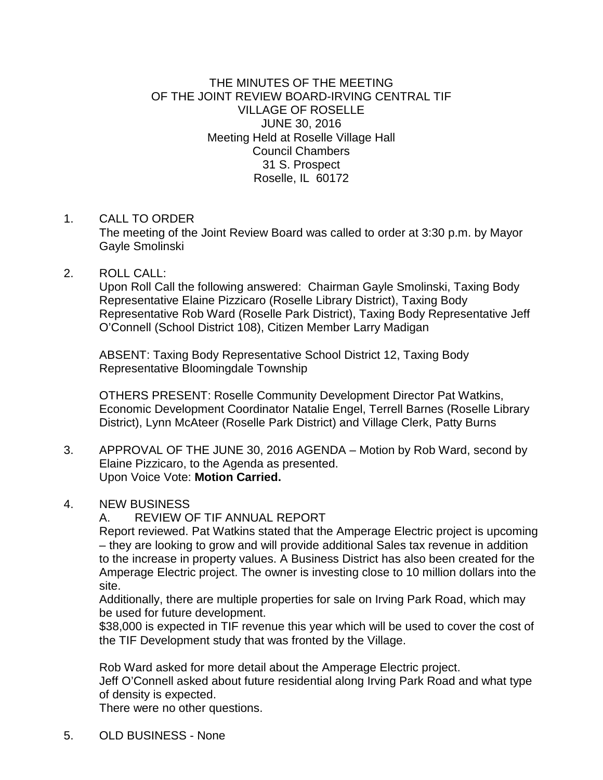## THE MINUTES OF THE MEETING OF THE JOINT REVIEW BOARD-IRVING CENTRAL TIF VILLAGE OF ROSELLE JUNE 30, 2016 Meeting Held at Roselle Village Hall Council Chambers 31 S. Prospect Roselle, IL 60172

## 1. CALL TO ORDER

The meeting of the Joint Review Board was called to order at 3:30 p.m. by Mayor Gayle Smolinski

## 2. ROLL CALL:

Upon Roll Call the following answered: Chairman Gayle Smolinski, Taxing Body Representative Elaine Pizzicaro (Roselle Library District), Taxing Body Representative Rob Ward (Roselle Park District), Taxing Body Representative Jeff O'Connell (School District 108), Citizen Member Larry Madigan

ABSENT: Taxing Body Representative School District 12, Taxing Body Representative Bloomingdale Township

OTHERS PRESENT: Roselle Community Development Director Pat Watkins, Economic Development Coordinator Natalie Engel, Terrell Barnes (Roselle Library District), Lynn McAteer (Roselle Park District) and Village Clerk, Patty Burns

3. APPROVAL OF THE JUNE 30, 2016 AGENDA – Motion by Rob Ward, second by Elaine Pizzicaro, to the Agenda as presented. Upon Voice Vote: **Motion Carried.**

## 4. NEW BUSINESS

A. REVIEW OF TIF ANNUAL REPORT

Report reviewed. Pat Watkins stated that the Amperage Electric project is upcoming – they are looking to grow and will provide additional Sales tax revenue in addition to the increase in property values. A Business District has also been created for the Amperage Electric project. The owner is investing close to 10 million dollars into the site.

Additionally, there are multiple properties for sale on Irving Park Road, which may be used for future development.

\$38,000 is expected in TIF revenue this year which will be used to cover the cost of the TIF Development study that was fronted by the Village.

Rob Ward asked for more detail about the Amperage Electric project.

Jeff O'Connell asked about future residential along Irving Park Road and what type of density is expected.

There were no other questions.

5. OLD BUSINESS - None